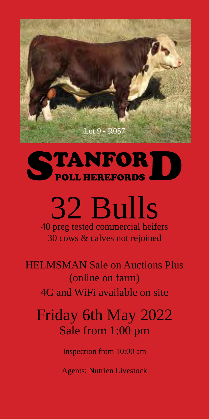

# STANFORD

## 32 Bulls 40 preg tested commercial heifers

30 cows & calves not rejoined

HELMSMAN Sale on Auctions Plus (online on farm) 4G and WiFi available on site

## Friday 6th May 2022 Sale from 1:00 pm

Inspection from 10:00 am

Agents: Nutrien Livestock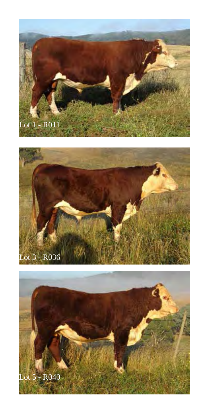



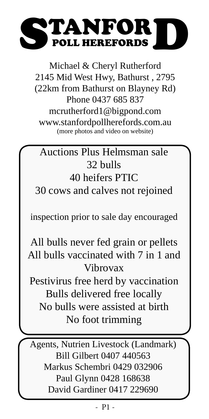# STANFORDS

Michael & Cheryl Rutherford 2145 Mid West Hwy, Bathurst , 2795 (22km from Bathurst on Blayney Rd) Phone 0437 685 837 mcrutherford1@bigpond.com www.stanfordpollherefords.com.au (more photos and video on website)

## Auctions Plus Helmsman sale 32 bulls 40 heifers PTIC 30 cows and calves not rejoined

inspection prior to sale day encouraged

All bulls never fed grain or pellets All bulls vaccinated with 7 in 1 and Vibrovax

Pestivirus free herd by vaccination Bulls delivered free locally No bulls were assisted at birth No foot trimming

Agents, Nutrien Livestock (Landmark) Bill Gilbert 0407 440563 Markus Schembri 0429 032906 Paul Glynn 0428 168638 David Gardiner 0417 229690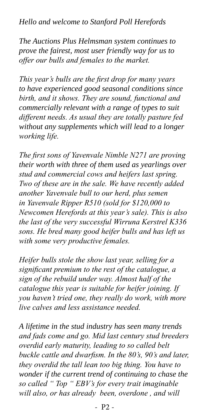*Hello and welcome to Stanford Poll Herefords*

*The Auctions Plus Helmsman system continues to prove the fairest, most user friendly way for us to offer our bulls and females to the market.*

*This year's bulls are the first drop for many years to have experienced good seasonal conditions since birth, and it shows. They are sound, functional and commercially relevant with a range of types to suit different needs. As usual they are totally pasture fed without any supplements which will lead to a longer working life.*

*The first sons of Yavenvale Nimble N271 are proving their worth with three of them used as yearlings over stud and commercial cows and heifers last spring. Two of these are in the sale. We have recently added another Yavenvale bull to our herd, plus semen in Yavenvale Ripper R510 (sold for \$120,000 to Newcomen Herefords at this year's sale). This is also the last of the very successful Wirruna Kerstrel K336 sons. He bred many good heifer bulls and has left us with some very productive females.*

*Heifer bulls stole the show last year, selling for a significant premium to the rest of the catalogue, a sign of the rebuild under way. Almost half of the catalogue this year is suitable for heifer joining. If you haven't tried one, they really do work, with more live calves and less assistance needed.*

*A lifetime in the stud industry has seen many trends and fads come and go. Mid last century stud breeders overdid early maturity, leading to so called belt buckle cattle and dwarfism. In the 80's, 90's and later, they overdid the tall lean too big thing. You have to wonder if the current trend of continuing to chase the so called " Top " EBV's for every trait imaginable will also, or has already been, overdone , and will*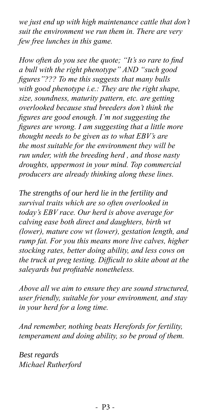*we just end up with high maintenance cattle that don't suit the environment we run them in. There are very few free lunches in this game.*

*How often do you see the quote; "It's so rare to find a bull with the right phenotype" AND "such good figures"??? To me this suggests that many bulls with good phenotype i.e.: They are the right shape, size, soundness, maturity pattern, etc. are getting overlooked because stud breeders don't think the figures are good enough. I'm not suggesting the figures are wrong. I am suggesting that a little more thought needs to be given as to what EBV's are the most suitable for the environment they will be run under, with the breeding herd , and those nasty droughts, uppermost in your mind. Top commercial producers are already thinking along these lines.* 

*The strengths of our herd lie in the fertility and survival traits which are so often overlooked in today's EBV race. Our herd is above average for calving ease both direct and daughters, birth wt (lower), mature cow wt (lower), gestation length, and rump fat. For you this means more live calves, higher stocking rates, better doing ability, and less cows on the truck at preg testing. Difficult to skite about at the saleyards but profitable nonetheless.*

*Above all we aim to ensure they are sound structured, user friendly, suitable for your environment, and stay in your herd for a long time.*

*And remember, nothing beats Herefords for fertility, temperament and doing ability, so be proud of them.*

*Best regards Michael Rutherford*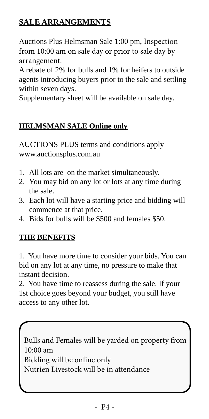## **SALE ARRANGEMENTS**

Auctions Plus Helmsman Sale 1:00 pm, Inspection from 10:00 am on sale day or prior to sale day by arrangement.

A rebate of 2% for bulls and 1% for heifers to outside agents introducing buyers prior to the sale and settling within seven days.

Supplementary sheet will be available on sale day.

## **HELMSMAN SALE Online only**

AUCTIONS PLUS terms and conditions apply www.auctionsplus.com.au

- 1. All lots are on the market simultaneously.
- 2. You may bid on any lot or lots at any time during the sale.
- 3. Each lot will have a starting price and bidding will commence at that price.
- 4. Bids for bulls will be \$500 and females \$50.

### **THE BENEFITS**

1. You have more time to consider your bids. You can bid on any lot at any time, no pressure to make that instant decision.

2. You have time to reassess during the sale. If your 1st choice goes beyond your budget, you still have access to any other lot.

Bulls and Females will be yarded on property from 10:00 am Bidding will be online only Nutrien Livestock will be in attendance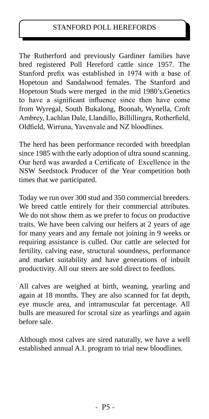#### STANFORD POLL HEREFORDS

The Rutherford and previously Gardiner families have bred registered Poll Hereford cattle since 1957. The Stanford prefix was established in 1974 with a base of Hopetoun and Sandalwood females. The Stanford and Hopetoun Studs were merged in the mid 1980's.Genetics to have a significant influence since then have come from Wyregal, South Bukalong, Boonah, Wynella, Croft Ambrey, Lachlan Dale, Llandillo, Billillingra, Rotherfield, Oldfield, Wirruna, Yavenvale and NZ bloodlines.

The herd has been performance recorded with breedplan since 1985 with the early adoption of ultra sound scanning. Our herd was awarded a Certificate of Excellence in the NSW Seedstock Producer of the Year competition both times that we participated.

Today we run over 300 stud and 350 commercial breeders. We breed cattle entirely for their commercial attributes. We do not show them as we prefer to focus on productive traits. We have been calving our heifers at 2 years of age for many years and any female not joining in 9 weeks or requiring assistance is culled. Our cattle are selected for fertility, calving ease, structural soundness, performance and market suitability and have generations of inbuilt productivity. All our steers are sold direct to feedlots.

All calves are weighed at birth, weaning, yearling and again at 18 months. They are also scanned for fat depth, eye muscle area, and intramuscular fat percentage. All bulls are measured for scrotal size as yearlings and again before sale.

Although most calves are sired naturally, we have a well established annual A.I. program to trial new bloodlines.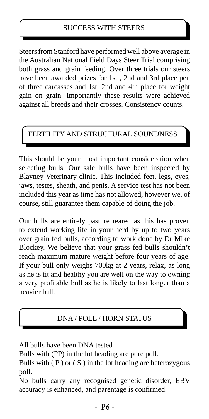Steers from Stanford have performed well above average in the Australian National Field Days Steer Trial comprising both grass and grain feeding. Over three trials our steers have been awarded prizes for 1st , 2nd and 3rd place pen of three carcasses and 1st, 2nd and 4th place for weight gain on grain. Importantly these results were achieved against all breeds and their crosses. Consistency counts.

## FERTILITY AND STRUCTURAL SOUNDNESS

This should be your most important consideration when selecting bulls. Our sale bulls have been inspected by Blayney Veterinary clinic. This included feet, legs, eyes, jaws, testes, sheath, and penis. A service test has not been included this year as time has not allowed, however we, of course, still guarantee them capable of doing the job.

Our bulls are entirely pasture reared as this has proven to extend working life in your herd by up to two years over grain fed bulls, according to work done by Dr Mike Blockey. We believe that your grass fed bulls shouldn't reach maximum mature weight before four years of age. If your bull only weighs 700kg at 2 years, relax, as long as he is fit and healthy you are well on the way to owning a very profitable bull as he is likely to last longer than a heavier bull.

## DNA / POLL / HORN STATUS

All bulls have been DNA tested

Bulls with (PP) in the lot heading are pure poll.

Bulls with  $(P)$  or  $(S)$  in the lot heading are heterozygous poll.

No bulls carry any recognised genetic disorder, EBV accuracy is enhanced, and parentage is confirmed.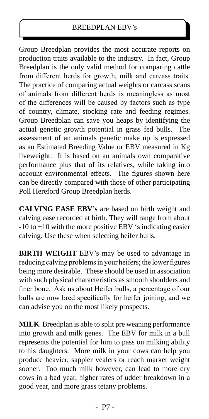#### BREEDPLAN EBV's

Group Breedplan provides the most accurate reports on production traits available to the industry. In fact, Group Breedplan is the only valid method for comparing cattle from different herds for growth, milk and carcass traits. The practice of comparing actual weights or carcass scans of animals from different herds is meaningless as most of the differences will be caused by factors such as type of country, climate, stocking rate and feeding regimes. Group Breedplan can save you heaps by identifying the actual genetic growth potential in grass fed bulls. The assessment of an animals genetic make up is expressed as an Estimated Breeding Value or EBV measured in Kg liveweight. It is based on an animals own comparative performance plus that of its relatives, while taking into account environmental effects. The figures shown here can be directly compared with those of other participating Poll Hereford Group Breedplan herds.

**CALVING EASE EBV's** are based on birth weight and calving ease recorded at birth. They will range from about -10 to +10 with the more positive EBV 's indicating easier calving. Use these when selecting heifer bulls.

**BIRTH WEIGHT** EBV's may be used to advantage in reducing calving problems in your heifers; the lower figures being more desirable. These should be used in association with such physical characteristics as smooth shoulders and finer bone. Ask us about Heifer bulls, a percentage of our bulls are now bred specifically for heifer joining, and we can advise you on the most likely prospects.

**MILK** Breedplan is able to split pre weaning performance into growth and milk genes. The EBV for milk in a bull represents the potential for him to pass on milking ability to his daughters. More milk in your cows can help you produce heavier, sappier vealers or reach market weight sooner. Too much milk however, can lead to more dry cows in a bad year, higher rates of udder breakdown in a good year, and more grass tetany problems.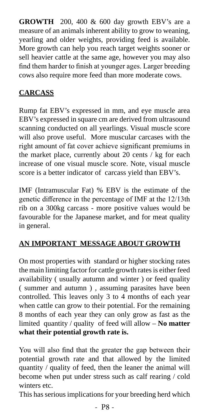**GROWTH** 200, 400 & 600 day growth EBV's are a measure of an animals inherent ability to grow to weaning, yearling and older weights, providing feed is available. More growth can help you reach target weights sooner or sell heavier cattle at the same age, however you may also find them harder to finish at younger ages. Larger breeding cows also require more feed than more moderate cows.

## **CARCASS**

Rump fat EBV's expressed in mm, and eye muscle area EBV's expressed in square cm are derived from ultrasound scanning conducted on all yearlings. Visual muscle score will also prove useful. More muscular carcases with the right amount of fat cover achieve significant premiums in the market place, currently about 20 cents / kg for each increase of one visual muscle score. Note, visual muscle score is a better indicator of carcass yield than EBV's.

IMF (Intramuscular Fat) % EBV is the estimate of the genetic difference in the percentage of IMF at the 12/13th rib on a 300kg carcass - more positive values would be favourable for the Japanese market, and for meat quality in general.

### **AN IMPORTANT MESSAGE ABOUT GROWTH**

On most properties with standard or higher stocking rates the main limiting factor for cattle growth rates is either feed availability ( usually autumn and winter ) or feed quality ( summer and autumn ) , assuming parasites have been controlled. This leaves only 3 to 4 months of each year when cattle can grow to their potential. For the remaining 8 months of each year they can only grow as fast as the limited quantity / quality of feed will allow – **No matter what their potential growth rate is.**

You will also find that the greater the gap between their potential growth rate and that allowed by the limited quantity / quality of feed, then the leaner the animal will become when put under stress such as calf rearing / cold winters etc.

This has serious implications for your breeding herd which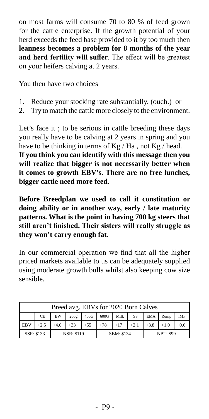on most farms will consume 70 to 80 % of feed grown for the cattle enterprise. If the growth potential of your herd exceeds the feed base provided to it by too much then **leanness becomes a problem for 8 months of the year and herd fertility will suffer**. The effect will be greatest on your heifers calving at 2 years.

You then have two choices

- 1. Reduce your stocking rate substantially. (ouch.) or
- 2. Try to match the cattle more closely to the environment.

Let's face it ; to be serious in cattle breeding these days you really have to be calving at 2 years in spring and you have to be thinking in terms of  $Kg / Ha$ , not  $Kg / head$ . **If you think you can identify with this message then you will realize that bigger is not necessarily better when it comes to growth EBV's. There are no free lunches, bigger cattle need more feed.**

**Before Breedplan we used to call it constitution or doing ability or in another way, early / late maturity patterns. What is the point in having 700 kg steers that still aren't finished. Their sisters will really struggle as they won't carry enough fat.**

In our commercial operation we find that all the higher priced markets available to us can be adequately supplied using moderate growth bulls whilst also keeping cow size sensible.

|            |                                                                                                         |        | Breed avg. EBVs for 2020 Born Calves                           |  |  |  |  |  |  |  |  |  |  |
|------------|---------------------------------------------------------------------------------------------------------|--------|----------------------------------------------------------------|--|--|--|--|--|--|--|--|--|--|
|            | Milk<br>600G<br><b>SS</b><br><b>IMF</b><br>400G<br><b>BW</b><br><b>EMA</b><br><b>CE</b><br>200g<br>Rump |        |                                                                |  |  |  |  |  |  |  |  |  |  |
| <b>EBV</b> | $+2.5$                                                                                                  | $+4.0$ | $+2.1$<br>$+33$<br>$+17$<br>$+55$<br>$+3.8$<br>$+78$<br>$+1.0$ |  |  |  |  |  |  |  |  |  |  |
|            | $+0.6$<br>SSR: \$133<br><b>NSR: \$119</b><br>SBM: \$134<br><b>NBT: \$99</b>                             |        |                                                                |  |  |  |  |  |  |  |  |  |  |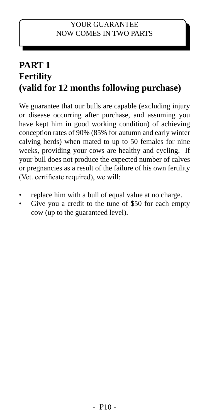## **PART 1 Fertility (valid for 12 months following purchase)**

We guarantee that our bulls are capable (excluding injury or disease occurring after purchase, and assuming you have kept him in good working condition) of achieving conception rates of 90% (85% for autumn and early winter calving herds) when mated to up to 50 females for nine weeks, providing your cows are healthy and cycling. If your bull does not produce the expected number of calves or pregnancies as a result of the failure of his own fertility (Vet. certificate required), we will:

- replace him with a bull of equal value at no charge.
- Give you a credit to the tune of \$50 for each empty cow (up to the guaranteed level).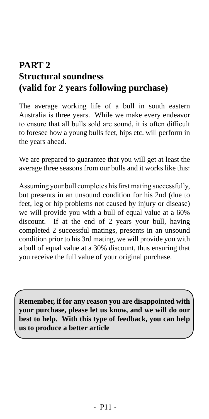## **PART 2 Structural soundness (valid for 2 years following purchase)**

The average working life of a bull in south eastern Australia is three years. While we make every endeavor to ensure that all bulls sold are sound, it is often difficult to foresee how a young bulls feet, hips etc. will perform in the years ahead.

We are prepared to guarantee that you will get at least the average three seasons from our bulls and it works like this:

Assuming your bull completes his first mating successfully, but presents in an unsound condition for his 2nd (due to feet, leg or hip problems not caused by injury or disease) we will provide you with a bull of equal value at a 60% discount. If at the end of 2 years your bull, having completed 2 successful matings, presents in an unsound condition prior to his 3rd mating, we will provide you with a bull of equal value at a 30% discount, thus ensuring that you receive the full value of your original purchase.

**Remember, if for any reason you are disappointed with your purchase, please let us know, and we will do our best to help. With this type of feedback, you can help us to produce a better article**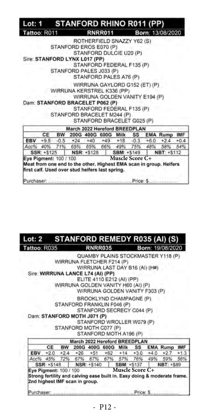|                        |             |           | Lot: 1 STANFORD RHINO R011 (PP)                 |                                |                        |                                                                    |        |
|------------------------|-------------|-----------|-------------------------------------------------|--------------------------------|------------------------|--------------------------------------------------------------------|--------|
| Tattoo: R011           |             |           |                                                 | <b>RNRR011</b>                 |                        | Born: 13/08/2020                                                   |        |
|                        |             |           |                                                 | ROTHERFIELD SNAZZY Y62 (S)     |                        |                                                                    |        |
|                        |             |           | STANFORD EROS E070 (P)                          |                                |                        |                                                                    |        |
|                        |             |           |                                                 | STANFORD DULCIE U20 (P)        |                        |                                                                    |        |
|                        |             |           | Sire: STANFORD LYNX L017 (PP)                   |                                |                        |                                                                    |        |
|                        |             |           |                                                 | STANFORD FEDERAL F135 (P)      |                        |                                                                    |        |
|                        |             |           | STANFORD PALES J033 (P)                         |                                |                        |                                                                    |        |
|                        |             |           |                                                 | STANFORD PALES A76 (P)         |                        |                                                                    |        |
|                        |             |           |                                                 | WIRRUNA GAYLORD G152 (ET) (P)  |                        |                                                                    |        |
|                        |             |           | WIRRUNA KERSTREL K336 (PP)                      |                                |                        |                                                                    |        |
|                        |             |           |                                                 | WIRRUNA GOLDEN VANITY E194 (P) |                        |                                                                    |        |
|                        |             |           | Dam: STANFORD BRACELET P062 (P)                 |                                |                        |                                                                    |        |
|                        |             |           |                                                 | STANFORD FEDERAL F135 (P)      |                        |                                                                    |        |
|                        |             |           | STANFORD BRACELET M244 (P)                      |                                |                        |                                                                    |        |
|                        |             |           |                                                 | STANFORD BRACELET G025 (P)     |                        |                                                                    |        |
|                        |             |           | March 2022 Hereford BREEDPLAN                   |                                |                        |                                                                    |        |
|                        | <b>CE</b>   | <b>BW</b> |                                                 |                                |                        | 200G 400G 600G Milk SS EMA Rump IMF                                |        |
|                        |             |           | EBV +9.8 -0.5 +24 +40 +49 +18 -0.3 +6.0         |                                |                        | $+2.4$                                                             | $+0.4$ |
|                        |             |           |                                                 |                                |                        | Acc% 40% 71% 65% 65% 66% 49% 75% 48% 58% 54%                       |        |
|                        | SSR: +\$125 |           | NSR: +\$128 SBM: +\$149                         |                                |                        | NBT: +\$112                                                        |        |
| Eye Pigment: 100 / 100 |             |           |                                                 |                                | <b>Muscle Score C+</b> |                                                                    |        |
|                        |             |           |                                                 |                                |                        | Meat from one end to the other. Highest EMA scan in group. Heifers |        |
|                        |             |           | first calf. Used over stud heifers last spring. |                                |                        |                                                                    |        |
|                        |             |           |                                                 |                                |                        |                                                                    |        |

#### STANFORD REMEDY R035 (AI) (S)  $Lot: 2$ Tattoo: R035 **RNRR035** Born: 19/08/2020

QUAMBY PLAINS STOCKMASTER Y118 (P) WIRRUNA FLETCHER F214 (P) WIRRUNA LAST DAY B16 (AI) (H#) Sire: WIRRUNA LANCE L74 (AI) (PP) ELITE 4110 E212 (AI) (PP) WIRRUNA GOLDEN VANITY H60 (AI) (P) WIRRUNA GOLDEN VANITY F303 (P) BROOKLYND CHAMPAGNE (P) STANFORD FRANKLIN F046 (P) STANFORD SECRECY C044 (P) Dam: STANFORD MOTH J071 (P) STANFORD WROLLER W079 (P) STANFORD MOTH C077 (P) STANFORD MOTH A196 (P) March 2022 Hereford BREEDPLAN CE **BW** 200G 400G 600G Milk SS **EMA Rump IMF** EBV  $+2.0$  $+2.4$  $+26$  $+51$  $+62$  $+14$  $+3.0$  $+4.0$  $+2.7$  $+1.3$ Acc% 45% 72% 67% 67% 67% 57% 76% 49% 59% 56% SSR: +\$148 NSR: +\$140 **SBM: +\$137 NBT: +\$89** Eye Pigment: 100 / 100 Muscle Score C+<br>Strong fertility and calving ease built in. Easy doing & moderate frame. Eye Pigment: 100 / 100 2nd highest IMF scan in group. Purchaser. Price: S.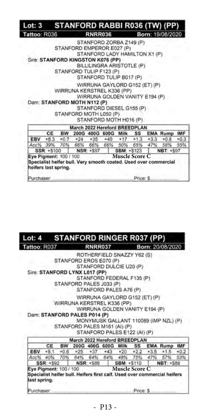| Tattoo: R036                      |        |        |                               | <b>RNRR036</b> |                                |                       |        |        | Born: 19/08/2020                                                 |        |
|-----------------------------------|--------|--------|-------------------------------|----------------|--------------------------------|-----------------------|--------|--------|------------------------------------------------------------------|--------|
|                                   |        |        |                               |                | STANFORD ZORBA Z149 (P)        |                       |        |        |                                                                  |        |
|                                   |        |        | STANFORD EMPEROR E027 (P)     |                |                                |                       |        |        |                                                                  |        |
|                                   |        |        |                               |                | STANFORD LADY HAMILTON X1 (P)  |                       |        |        |                                                                  |        |
| Sire: STANFORD KINGSTON K076 (PP) |        |        |                               |                |                                |                       |        |        |                                                                  |        |
|                                   |        |        |                               |                | BILLILINGRA ARISTOTLE (P)      |                       |        |        |                                                                  |        |
|                                   |        |        | STANFORD TULIP F123 (P)       |                |                                |                       |        |        |                                                                  |        |
|                                   |        |        |                               |                | STANFORD TULIP B017 (P)        |                       |        |        |                                                                  |        |
|                                   |        |        |                               |                | WIRRUNA GAYLORD G152 (ET) (P)  |                       |        |        |                                                                  |        |
|                                   |        |        | WIRRUNA KERSTREL K336 (PP)    |                |                                |                       |        |        |                                                                  |        |
|                                   |        |        |                               |                | WIRRUNA GOLDEN VANITY E194 (P) |                       |        |        |                                                                  |        |
| Dam: STANFORD MOTH N112 (P)       |        |        |                               |                |                                |                       |        |        |                                                                  |        |
|                                   |        |        |                               |                | STANFORD DIESEL G155 (P)       |                       |        |        |                                                                  |        |
|                                   |        |        | STANFORD MOTH L050 (P)        |                |                                |                       |        |        |                                                                  |        |
|                                   |        |        |                               |                | STANFORD MOTH H016 (P)         |                       |        |        |                                                                  |        |
|                                   |        |        | March 2022 Hereford BREEDPLAN |                |                                |                       |        |        |                                                                  |        |
|                                   | CE     | BW     |                               |                | 200G 400G 600G Milk SS         |                       |        |        | <b>EMA Rump IMF</b>                                              |        |
| EBV                               | $+8.3$ | $+0.7$ | $+24.$                        | $+35$          | $+49$                          | $+17$                 | $+1.3$ | $+3.3$ | $+0.8$                                                           | $+0.3$ |
| Acc% 39%                          |        |        | 70% 66% 66% 66% 50% 65%       |                |                                |                       |        | 47%    | 58%                                                              | 55%    |
| SSR: +\$100                       |        |        |                               | NSR: +\$97     |                                | <b>SBM: +S123</b>     |        |        | NBT: +\$97                                                       |        |
|                                   |        |        |                               |                |                                | <b>Muscle Score C</b> |        |        | Specialist heifer bull. Very smooth coated. Used over commercial |        |
| Eye Pigment: 100 / 100            |        |        |                               |                |                                |                       |        |        |                                                                  |        |

| Lot: 4                        |            |        | <b>STANFORD RINGER R037 (PP)</b>                                         |                                                                                                 |                   |                       |     |                                             |            |
|-------------------------------|------------|--------|--------------------------------------------------------------------------|-------------------------------------------------------------------------------------------------|-------------------|-----------------------|-----|---------------------------------------------|------------|
| Tattoo: R037                  |            |        |                                                                          | <b>RNRR037</b>                                                                                  |                   |                       |     | Born: 20/08/2020                            |            |
|                               |            |        | STANFORD EROS E070 (P)                                                   | ROTHERFIELD SNAZZY Y62 (S)<br>STANFORD DULCIE U20 (P)                                           |                   |                       |     |                                             |            |
| Sire: STANFORD LYNX L017 (PP) |            |        | STANFORD PALES J033 (P)                                                  | STANFORD FEDERAL F135 (P)<br>STANFORD PALES A76 (P)                                             |                   |                       |     |                                             |            |
| Dam: STANFORD PALES P014 (P)  |            |        | WIRRUNA KERSTREL K336 (PP).<br>STANFORD PALES M161 (AI) (P)              | WIRRUNA GAYLORD G152 (ET) (P)<br>WIRRUNA GOLDEN VANITY E194 (P)<br>STANFORD PALES E122 (AI) (P) |                   |                       |     | MONYMUSK GALLANT 110089 (IMP NZL) (P)       |            |
|                               |            |        | March 2022 Hereford BREEDPLAN                                            |                                                                                                 |                   |                       |     |                                             |            |
|                               | CE         |        | BW 200G 400G 600G Milk SS                                                |                                                                                                 |                   |                       |     | <b>EMA Rump</b>                             | <b>IMF</b> |
| EBV                           | $+8.1$     | $+0.6$ |                                                                          |                                                                                                 |                   |                       |     | $+25$ $+37$ $+43$ $+20$ $+22$ $+3.5$ $+1.5$ | $+0.2$     |
| Acc%                          | 40%        |        | 70% 64% 64% 64% 48% 75%                                                  |                                                                                                 |                   |                       | 47% | 57%                                         | 53%        |
|                               | SSR: +\$92 |        | NSR: +\$89                                                               |                                                                                                 | <b>SBM: +S110</b> |                       |     | <b>NBT: +S88</b>                            |            |
| Eye Pigment: 100 / 100        |            |        | Specialist heifer bull. Heifers first calf. Used over commercial heifers |                                                                                                 |                   | <b>Muscle Score C</b> |     |                                             |            |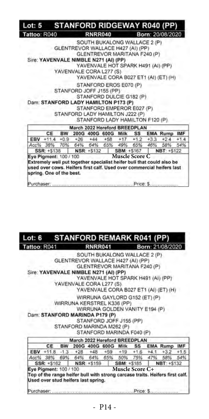| Lot: 5 STANFORD RIDGEWAY R040 (PP)    |             |           |                                   |                           |           |                                    |        |                                                                       |        |
|---------------------------------------|-------------|-----------|-----------------------------------|---------------------------|-----------|------------------------------------|--------|-----------------------------------------------------------------------|--------|
| Tattoo: R040                          |             |           |                                   | <b>RNRR040</b>            |           |                                    |        | Born: 20/08/2020                                                      |        |
|                                       |             |           |                                   |                           |           | SOUTH BUKALONG WALLACE 2 (P)       |        |                                                                       |        |
|                                       |             |           | GLENTREVOR WALLACE H427 (AI) (PP) |                           |           |                                    |        |                                                                       |        |
|                                       |             |           |                                   |                           |           | GLENTREVOR MARITANA F240 (P)       |        |                                                                       |        |
| Sire: YAVENVALE NIMBLE N271 (AI) (PP) |             |           |                                   |                           |           |                                    |        |                                                                       |        |
|                                       |             |           |                                   |                           |           | YAVENVALE HOT SPARK H491 (AI) (PP) |        |                                                                       |        |
|                                       |             |           | YAVENVALE CORA L277 (S)           |                           |           |                                    |        |                                                                       |        |
|                                       |             |           |                                   |                           |           |                                    |        | YAVENVALE CORA B027 ET1 (AI) (ET) (H)                                 |        |
|                                       |             |           |                                   | STANFORD EROS E070 (P)    |           |                                    |        |                                                                       |        |
|                                       |             |           | STANFORD JOFF J155 (PP)           |                           |           |                                    |        |                                                                       |        |
|                                       |             |           |                                   |                           |           | STANFORD DULCIE G182 (P)           |        |                                                                       |        |
| Dam: STANFORD LADY HAMILTON P173 (P)  |             |           |                                   |                           |           |                                    |        |                                                                       |        |
|                                       |             |           |                                   |                           |           | STANFORD EMPEROR E027 (P).         |        |                                                                       |        |
|                                       |             |           | STANFORD LADY HAMILTON J222 (P)   |                           |           |                                    |        |                                                                       |        |
|                                       |             |           |                                   |                           |           | STANFORD LADY HAMILTON F120 (P)    |        |                                                                       |        |
|                                       |             |           | March 2022 Hereford BREEDPLAN     |                           |           |                                    |        |                                                                       |        |
|                                       | CE          | <b>BW</b> |                                   |                           |           | 200G 400G 600G Milk SS             |        | <b>EMA Rump IMF</b>                                                   |        |
|                                       | EBV +11.4   | $+0.9$    | $+26$                             | $+44$                     | $+58 +17$ | $+1.2$                             | $+3.3$ | $+2.4$                                                                | $+1.4$ |
| Acc% 38%                              |             |           | 70% 64% 64% 65% 49% 65%           |                           |           |                                    | 46%    | 58%                                                                   | 54%    |
|                                       | SSR: +\$138 |           |                                   | NSR: +\$132   SBM: +\$167 |           |                                    |        | NBT: +S122                                                            |        |
| Eye Pigment: 100 / 100                |             |           |                                   |                           |           | <b>Muscle Score C</b>              |        |                                                                       |        |
|                                       |             |           |                                   |                           |           |                                    |        | Extremely well put together specialist heifer bull that could also be |        |
|                                       |             |           |                                   |                           |           |                                    |        | used over cows. Helfers first calf. Used over commercial helfers last |        |
| spring. One of the best.              |             |           |                                   |                           |           |                                    |        |                                                                       |        |
| Purchaser                             |             |           |                                   |                           |           | Price: S.                          |        |                                                                       |        |

#### **STANFORD REMARK R041 (PP)**  $Lot: 6$ Tattoo: R041 **RNRR041** Born: 21/08/2020

SOUTH BUKALONG WALLACE 2 (P) GLENTREVOR WALLACE H427 (AI) (PP) GLENTREVOR MARITANA F240 (P) Sire: YAVENVALE NIMBLE N271 (AI) (PP) YAVENVALE HOT SPARK H491 (AI) (PP) YAVENVALE CORA L277 (S) YAVENVALE CORA B027 ET1 (AI) (ET) (H) WIRRUNA GAYLORD G152 (ET) (P) WIRRUNA KERSTREL K336 (PP) WIRRUNA GOLDEN VANITY E194 (P) Dam: STANFORD MARINDA P179 (P) STANFORD JOFF J155 (PP) STANFORD MARINDA M262 (P) STANFORD MARINDA F040 (P)

|            |                                                               |     |       |           | March 2022 Hereford BREEDPLAN |          |                                                                              |  |
|------------|---------------------------------------------------------------|-----|-------|-----------|-------------------------------|----------|------------------------------------------------------------------------------|--|
|            | CF                                                            | BW. |       |           | 200G 400G 600G Milk SS        |          | <b>EMA Rump IMF</b>                                                          |  |
|            | EBV $+11.8$ -1.3                                              |     | $+28$ | $+48 +59$ |                               |          | $+19$ $+1.6$ $+4.1$ $+3.2$ $+1.5$                                            |  |
|            | Acc% 38% 69% 64% 64% 65% 50% 75% 47%                          |     |       |           |                               |          | 58% 54%                                                                      |  |
|            | SSR: +\$162 NSR: +\$159                                       |     |       |           |                               |          | SBM: +\$185   NBT: +\$132                                                    |  |
|            | Eye Pigment: 100 / 100<br>Used over stud helfers last spring. |     |       |           | <b>Muscle Score C+</b>        |          | Top of the range helfer bull with strong carcase traits. Helfers first calf. |  |
| Purchaser: |                                                               |     |       |           |                               | Price: S |                                                                              |  |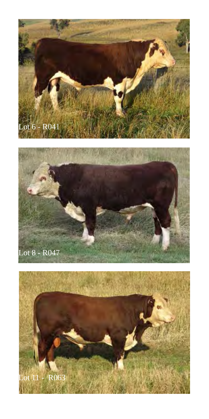



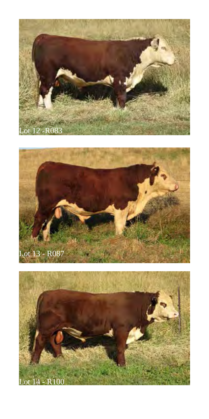



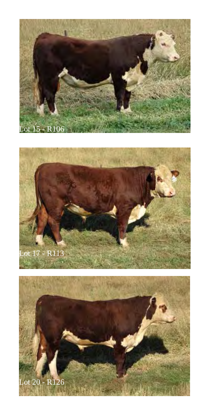



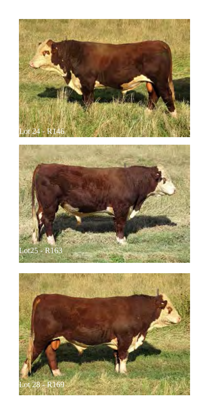



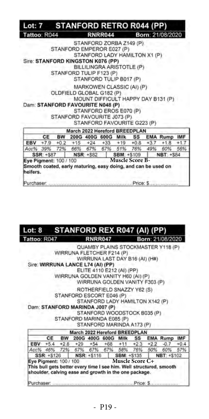|                                    |                  |           | Lot: 7 STANFORD RETRO R044 (PP)                                                                                                                                                                                                                                        |                        |  |                                    |     |
|------------------------------------|------------------|-----------|------------------------------------------------------------------------------------------------------------------------------------------------------------------------------------------------------------------------------------------------------------------------|------------------------|--|------------------------------------|-----|
| Tattoo: R044                       |                  |           | <b>RNRR044</b>                                                                                                                                                                                                                                                         |                        |  | Born: 21/08/2020                   |     |
|                                    |                  |           | STANFORD ZORBA Z149 (P)<br>STANFORD EMPEROR E027 (P)<br>STANFORD LADY HAMILTON X1 (P)<br>Sire: STANFORD KINGSTON K076 (PP)<br>BILLILINGRA ARISTOTLE (P)<br>STANFORD TULIP F123 (P)<br>STANFORD TULIP B017 (P)<br>MARKOWEN CLASSIC (AI) (P)<br>OLDFIELD GLOBAL G182 (P) |                        |  |                                    |     |
|                                    |                  |           | Dam: STANFORD FAVOURITE N048 (P)<br>STANFORD EROS E070 (P)<br>STANFORD FAVOURITE J073 (P)<br>STANFORD FAVOURITE G223 (P)                                                                                                                                               |                        |  | MOUNT DIFFICULT HAPPY DAY B131 (P) |     |
|                                    |                  |           | March 2022 Hereford BREEDPLAN                                                                                                                                                                                                                                          |                        |  |                                    |     |
|                                    | CE               |           |                                                                                                                                                                                                                                                                        |                        |  | BW 200G 400G 600G Milk SS EMA Rump | IMF |
| EBV                                |                  |           | $+7.9$ $+0.2$ $+15$ $+24$ $+33$ $+19$ $+0.8$ $+3.7$                                                                                                                                                                                                                    |                        |  | $+1.8$ $+1.7$                      |     |
| Acc% 39%                           |                  |           | 72% 66% 67% 67% 51% 76% 49%                                                                                                                                                                                                                                            |                        |  | 60%                                | 56% |
|                                    | <b>SSR: +587</b> | NSR: +582 |                                                                                                                                                                                                                                                                        | SBM: +\$109            |  | NBT: +S84                          |     |
| Eye Pigment: 100 / 100<br>heifers. |                  |           | Smooth coated, early maturing, easy doing, and can be used on                                                                                                                                                                                                          | <b>Muscle Score B-</b> |  |                                    |     |

| Lot: 8       | STANFORD REX R047 (AI) (PP) |                 |
|--------------|-----------------------------|-----------------|
| Tattoo: R047 | <b>RNRR047</b>              | Born: 21/08/202 |

QUAMBY PLAINS STOCKMASTER Y118 (P) WIRRUNA FLETCHER F214 (P) WIRRUNA LAST DAY B16 (AI) (H#) Sire: WIRRUNA LANCE L74 (AI) (PP) ELITE 4110 E212 (AI) (PP) WIRRUNA GOLDEN VANITY H60 (AI) (P) WIRRUNA GOLDEN VANITY F303 (P) ROTHERFIELD SNAZZY Y62 (S) STANFORD ESCORT E046 (P) STANFORD LADY HAMILTON X142 (P) Dam: STANFORD MARINDA J007 (P) STANFORD WOODSTOCK B035 (P) STANFORD MARINDA E085 (P) STANFORD MARINDA A173 (P) March 2022 Hereford BREEDPLAN CE **BW** 200G 400G 600G Milk SS **EMA Rump** IMF  $*5.4$  $*2.8$  $+54$  $+2.2$ EBV  $+29$  $+68$  $+11$  $+2.3$  $-0.7$  $+0.4$ Acc% 67% 67% 67% 58% 57% 46% 72% 76% 50% 60% SSR: +\$126 NSR: +\$116 **SBM: +S135** NBT: +\$102 **Eye Pigment:** 100 / 100 **Muscle Score C+**<br>This buil gets better every time I see him. Well structured, smooth Eye Pigment: 100 / 100 shoulder, calving ease and growth in the one package.

annine Price: S. Purchaser: .....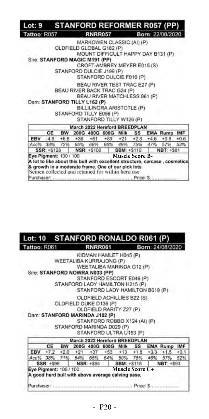| Lot: 9 STANFORD REFORMER R057 (PP)                                                                                                |             |           |                                                                                      |                                                                                                                                                      |       |                        |         |        |                                                                                         |        |
|-----------------------------------------------------------------------------------------------------------------------------------|-------------|-----------|--------------------------------------------------------------------------------------|------------------------------------------------------------------------------------------------------------------------------------------------------|-------|------------------------|---------|--------|-----------------------------------------------------------------------------------------|--------|
| Tattoo: R057                                                                                                                      |             |           |                                                                                      | <b>RNRR057</b>                                                                                                                                       |       |                        |         |        | Born: 22/08/2020                                                                        |        |
| Sire: STANFORD MAGIC M191 (PP)<br>Dam: STANFORD TILLY L162 (P)                                                                    |             |           | OLDFIELD GLOBAL G182 (P)<br>STANFORD DULCIE J199 (P)<br>BEAU RIVER BACK TRAC G24 (P) | MARKOWEN CLASSIC (AI) (P)<br>CROFT-AMBREY MEYER E015 (S)<br>STANFORD DULCIE F010 (P)<br>BEAU RIVER TEST TRAC E27 (P)<br>BEAU RIVER MATCHLESS 061 (P) |       |                        |         |        | MOUNT DIFFICULT HAPPY DAY B131 (P)                                                      |        |
|                                                                                                                                   |             |           | STANFORD TILLY E056 (P)                                                              | BILLILINGRA ARISTOTLE (P)<br>STANFORD TILLY W126 (P)                                                                                                 |       |                        |         |        |                                                                                         |        |
|                                                                                                                                   |             |           | March 2022 Hereford BREEDPLAN                                                        |                                                                                                                                                      |       |                        |         |        |                                                                                         |        |
|                                                                                                                                   | CE          | <b>BW</b> |                                                                                      | 200G 400G 600G                                                                                                                                       |       | Milk                   | SS      |        | <b>EMA Rump IMF</b>                                                                     |        |
| EBV                                                                                                                               | $-4.8$      | $+6.6$    | $+36$                                                                                | $+61$                                                                                                                                                | $+89$ | $+21$                  | $+2.8$  | $+4.6$ | $+0.8$                                                                                  | $+0.6$ |
| Acc% 38%                                                                                                                          |             | 72%       | 66%                                                                                  | 66%                                                                                                                                                  | 66%   |                        | 49% 75% | 47%    | 57%                                                                                     | 53%    |
|                                                                                                                                   | SSR: +\$128 |           |                                                                                      | NSR: +\$106                                                                                                                                          |       | SBM: +\$119            |         |        | <b>NBT: +S81</b>                                                                        |        |
| Eye Pigment: 100 / 100<br>& growth in a moderate frame. One of our pick lots.<br>Semen collected and retained for within herd use |             |           |                                                                                      |                                                                                                                                                      |       | <b>Muscle Score B-</b> |         |        | A lot to like about this bull with excellent structure, carcase, cosmetics<br>Price: S. |        |

#### **STANFORD RONALDO R061 (P)** Lot: 10 Tattoo: R061 **RNRR061** Born: 24/08/2020

KIDMAN HAMLET H045 (P) WEETALIBA KURRAJONG (P) WEETALIBA MARINDA G12 (P) Sire: STANFORD NOWRA N033 (PP) STANFORD ESCORT E046 (P) STANFORD LADY HAMILTON H215 (P) STANFORD LADY HAMILTON B019 (P)

OLDFIELD ACHILLIES B22 (S) OLDFIELD DUKE D136 (P)

OLDFIELD RARITY Z27 (P) Dam: STANFORD MARINDA J102 (P) STANFORD ROBBO X124 (AI) (P) STANFORD MARINDA D029 (P) STANFORD ULTRA U153 (P)

|                        |    | March 2022 Hereford BREEDPLAN                     |                           |  |                        |                                                    |  |
|------------------------|----|---------------------------------------------------|---------------------------|--|------------------------|----------------------------------------------------|--|
|                        | CE |                                                   |                           |  |                        | BW 200G 400G 600G Milk SS EMA Rump IMF             |  |
|                        |    |                                                   |                           |  |                        | EBV +7.2 +2.0 +21 +37 +53 +13 +1.8 +3.3 +1.5 +0.1  |  |
|                        |    |                                                   |                           |  |                        | Acc% 38% 71% 64% 65% 64% 50% 75% 46% 57% 52%       |  |
|                        |    |                                                   |                           |  |                        | SSR: +\$98   NSR: +\$94   SBM: +\$115   NBT: +\$93 |  |
| Eye Pigment: 100 / 100 |    | A good herd bull with above average calving ease. | <b>Marco Constitution</b> |  | <b>Muscle Score C+</b> |                                                    |  |
|                        |    |                                                   |                           |  |                        | Price: S.                                          |  |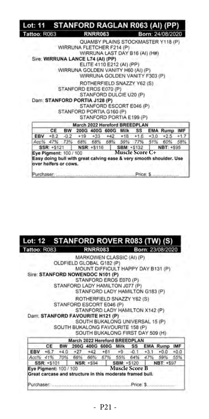| Tattoo: R063                      |             |                       |                                                                 | <b>RNRR063</b>                                                                                                |                   |                        |     | Born: 24/08/2020                                                    |               |
|-----------------------------------|-------------|-----------------------|-----------------------------------------------------------------|---------------------------------------------------------------------------------------------------------------|-------------------|------------------------|-----|---------------------------------------------------------------------|---------------|
| Sire: WIRRUNA LANCE L74 (AI) (PP) |             |                       | WIRRUNA FLETCHER F214 (P)<br>WIRRUNA GOLDEN VANITY H60 (AI) (P) | WIRRUNA LAST DAY B16 (AI) (H#)<br>ELITE 4110 E212 (AI) (PP)                                                   |                   |                        |     | QUAMBY PLAINS STOCKMASTER Y118 (P)                                  |               |
|                                   |             |                       |                                                                 | WIRRUNA GOLDEN VANITY F303 (P)                                                                                |                   |                        |     |                                                                     |               |
| Dam: STANFORD PORTIA J128 (P)     |             |                       | STANFORD EROS E070 (P)<br>STANFORD PORTIA G160 (P)              | ROTHERFIELD SNAZZY Y62 (S)<br>STANFORD DULCIE U20 (P)<br>STANFORD ESCORT E046 (P)<br>STANFORD PORTIA E199 (P) |                   |                        |     |                                                                     |               |
|                                   |             |                       | March 2022 Hereford BREEDPLAN                                   |                                                                                                               |                   |                        |     |                                                                     |               |
| EBV                               | CE          | <b>BW</b>             | +8.2 -0.2 +19 +33 +42 +18 +1.6 +3.0                             | 200G 400G 600G                                                                                                | Milk              | SS                     |     | <b>EMA Rump</b><br>$+2.5$                                           | IMF<br>$+1.7$ |
| Acc%                              |             |                       | 47% 73% 68% 68% 68%                                             |                                                                                                               |                   | 59% 77%                | 51% | 60%                                                                 | 58%           |
|                                   | SSR: +\$121 |                       | NSR: +\$116                                                     |                                                                                                               | <b>SBM: +S132</b> |                        |     | NBT: +\$95                                                          |               |
| Eye Pigment: 100 / 100            |             | over heifers or cows. |                                                                 |                                                                                                               |                   | <b>Muscle Score C+</b> |     | Easy doing bull with great calving ease & very smooth shoulder. Use |               |

| Lot: 12 STANFORD ROVER R083 (TW) (S) |           |                                                           |                |       |                                  |            |        |                                    |        |
|--------------------------------------|-----------|-----------------------------------------------------------|----------------|-------|----------------------------------|------------|--------|------------------------------------|--------|
| Tattoo: R083                         |           |                                                           | <b>RNRR083</b> |       |                                  |            |        | Born: 23/08/2020                   |        |
|                                      |           |                                                           |                |       | MARKOWEN CLASSIC (AI) (P)        |            |        |                                    |        |
|                                      |           | OLDFIELD GLOBAL G182 (P)                                  |                |       |                                  |            |        |                                    |        |
|                                      |           |                                                           |                |       |                                  |            |        | MOUNT DIFFICULT HAPPY DAY B131 (P) |        |
| Sire: STANFORD NOWENDOC N101 (P)     |           |                                                           |                |       |                                  |            |        |                                    |        |
|                                      |           |                                                           |                |       | STANFORD EROS E070 (P)           |            |        |                                    |        |
|                                      |           | STANFORD LADY HAMILTON J077 (P)                           |                |       |                                  |            |        |                                    |        |
|                                      |           |                                                           |                |       | STANFORD LADY HAMILTON G183 (P)  |            |        |                                    |        |
|                                      |           |                                                           |                |       | ROTHERFIELD SNAZZY Y62 (S)       |            |        |                                    |        |
|                                      |           | STANFORD ESCORT E046 (P)                                  |                |       |                                  |            |        |                                    |        |
|                                      |           |                                                           |                |       | STANFORD LADY HAMILTON X142 (P)  |            |        |                                    |        |
| Dam: STANFORD FAVOURITE H121 (P)     |           |                                                           |                |       |                                  |            |        |                                    |        |
|                                      |           |                                                           |                |       | SOUTH BUKALONG UNIVERSAL 15 (P)  |            |        |                                    |        |
|                                      |           | SOUTH BUKALONG FAVOURITE 158 (P)                          |                |       |                                  |            |        |                                    |        |
|                                      |           |                                                           |                |       | SOUTH BUKALONG FIRST DAY 509 (H) |            |        |                                    |        |
|                                      |           | March 2022 Hereford BREEDPLAN                             |                |       |                                  |            |        |                                    |        |
|                                      | <b>CE</b> |                                                           |                |       |                                  |            |        | BW 200G 400G 600G Milk SS EMA Rump | IMF    |
| EBV                                  | $+6.7$    | $+4.0 +27 +42$                                            |                | $+61$ |                                  | $+9 - 0.1$ | $+3.1$ | $+0.0$                             | $+0.0$ |
|                                      |           | Acc% 41% 70% 66% 66% 67% 55% 64% 47%                      |                |       |                                  |            |        | 59%                                | 55%    |
|                                      |           | SSR: +\$101   NSR: +\$94                                  |                |       | <b>SBM: +S120</b>                |            |        | NBT: +\$97                         |        |
| Eye Pigment: 100 / 100               |           |                                                           | 저희 일을 보고       |       | <b>Muscle Score B</b>            |            |        |                                    |        |
|                                      |           | Great carcase and structure in this moderate framed bull. |                |       |                                  |            |        |                                    |        |
|                                      |           |                                                           |                |       |                                  |            |        |                                    |        |
| Purchaser                            |           |                                                           |                |       |                                  |            |        |                                    |        |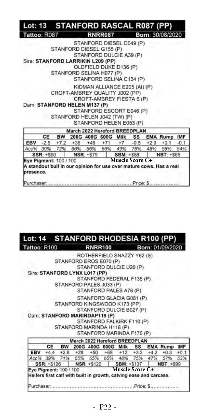|                                                   |           |           | Lot: 13 STANFORD RASCAL R087 (PP)                                                              |                   |                                                                                                                   |                   |                        |        |                                                                                  |        |
|---------------------------------------------------|-----------|-----------|------------------------------------------------------------------------------------------------|-------------------|-------------------------------------------------------------------------------------------------------------------|-------------------|------------------------|--------|----------------------------------------------------------------------------------|--------|
| Tattoo: R087                                      |           |           |                                                                                                |                   | <b>RNRR087</b>                                                                                                    |                   |                        |        | Born: 30/08/2020                                                                 |        |
|                                                   |           |           | STANFORD DIESEL G155 (P)<br>Sire: STANFORD LARRIKIN L209 (PP)<br>STANFORD SELINA H077 (P)      |                   | STANFORD DIESEL D049 (P)<br>STANFORD DULCIE A39 (P)<br>OLDFIELD DUKE D136 (P)<br>STANFORD SELINA C134 (P)         |                   |                        |        |                                                                                  |        |
|                                                   |           |           | CROFT-AMBREY QUALITY J002 (PP)<br>Dam: STANFORD HELEN M137 (P)<br>STANFORD HELEN J042 (TW) (P) |                   | KIDMAN ALLIANCE E205 (AI) (P)<br>CROFT-AMBREY FIESTA 6 (P)<br>STANFORD ESCORT E046 (P)<br>STANFORD HELEN E053 (P) |                   |                        |        |                                                                                  |        |
|                                                   |           |           | March 2022 Hereford BREEDPLAN                                                                  |                   |                                                                                                                   |                   |                        |        |                                                                                  |        |
|                                                   | CE        | <b>BW</b> |                                                                                                |                   | 200G 400G 600G Milk SS                                                                                            |                   |                        |        | <b>EMA Rump</b>                                                                  | IMF    |
| <b>EBV</b>                                        |           |           | $-2.5$ +7.2 +38 +49 +71 +7 -0.5                                                                |                   |                                                                                                                   |                   |                        | $+2.9$ | $+0.1$                                                                           | $-0.1$ |
|                                                   | Acc% 39%  |           | 72% 66% 66% 66% 49%                                                                            |                   |                                                                                                                   |                   | 76%                    | 48%    | 58%                                                                              | 54%    |
|                                                   | SSR: +590 |           |                                                                                                | <b>NSR: +\$79</b> |                                                                                                                   | <b>SBM: +\$88</b> |                        |        | NBT: +\$65                                                                       |        |
| Eye Pigment: 100 / 100<br>presence.<br>Purchaser: |           |           |                                                                                                |                   |                                                                                                                   |                   | <b>Muscle Score C+</b> |        | A standout bull in our opinion for use over mature cows. Has a real<br>Price: \$ |        |

#### **STANFORD RHODESIA R100 (PP** Lot: 14 Tattoo: R100 **RNRR100** Born: 01/09/2020

ROTHERFIELD SNAZZY Y62 (S) STANFORD EROS E070 (P) STANFORD DULCIE U20 (P) Sire: STANFORD LYNX L017 (PP) STANFORD FEDERAL F135 (P) STANFORD PALES J033 (P) STANFORD PALES A76 (P) STANFORD GLACIA G081 (P) STANFORD KINGSWOOD K173 (PP) STANFORD DULCIE B027 (P) Dam: STANFORD MARINDAP119 (P) STANFORD FALKIRK F110 (P) STANFORD MARINDA H118 (P) STANFORD MARINDA F176 (P) March 2022 Hereford BREEDPLAN CE **BW** 200G 400G 600G Milk SS **EMA Rump** IMF  $*4.4$  $+0.3$ EBV  $*2.8$  $*28$  $+50$  $+68$  $*12$  $*3.2$  $+4.2$  $+0.1$ 47% Acc% 39% 71% 65% 65% 65% 48% 75% 57% 53% NSR: +\$120 **NBT: +S99** SSR: +\$126 SBM: +\$137 **Eye Pigment: 100 / 100 Muscle Score C+**<br>**Heifers first calf with built in growth, calving ease and carcase.** Eye Pigment: 100 / 100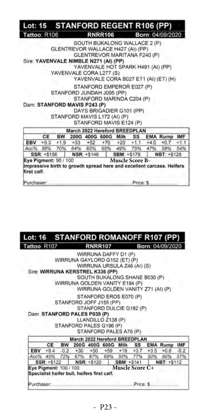| Lot: 15 STANFORD REGENT R106 (PP)     |             |           |             |                                                                                                                                                                            |                        |                                                                       |               |
|---------------------------------------|-------------|-----------|-------------|----------------------------------------------------------------------------------------------------------------------------------------------------------------------------|------------------------|-----------------------------------------------------------------------|---------------|
| Tattoo: R106                          |             |           |             | <b>RNRR106</b>                                                                                                                                                             |                        | Born: 04/09/2020                                                      |               |
|                                       |             |           |             | SOUTH BUKALONG WALLACE 2 (P)<br>GLENTREVOR WALLACE H427 (AI) (PP)<br>GLENTREVOR MARITANA F240 (P)                                                                          |                        |                                                                       |               |
| Sire: YAVENVALE NIMBLE N271 (AI) (PP) |             |           |             |                                                                                                                                                                            |                        |                                                                       |               |
|                                       |             |           |             | YAVENVALE HOT SPARK H491 (AI) (PP)<br>YAVENVALE CORA L277 (S)                                                                                                              |                        | YAVENVALE CORA B027 ET1 (AI) (ET) (H)                                 |               |
| Dam: STANFORD MAVIS P243 (P)          |             |           |             | STANFORD EMPEROR E027 (P)<br>STANFORD JUNDAH J095 (PP)<br>STANFORD MARINDA C204 (P)<br>DAYS BRIGADIER G101 (PP)<br>STANFORD MAVIS L172 (AI) (P)<br>STANFORD MAVIS E124 (P) |                        |                                                                       |               |
|                                       |             |           |             | March 2022 Hereford BREEDPLAN                                                                                                                                              |                        |                                                                       |               |
|                                       | CE          | <b>BW</b> |             | 200G 400G 600G Milk                                                                                                                                                        | SS                     | <b>EMA Rump</b>                                                       | <b>IMF</b>    |
| Acc% 38%                              |             |           |             | EBV +9.3 +1.9 +33 +52 +70 +20 +1.1 +4.0<br>70% 64% 65% 65% 49% 75% 47%                                                                                                     |                        | $+0.7$<br>58%                                                         | $+1.1$<br>54% |
|                                       | SSR: +\$156 |           | NSR: +\$146 |                                                                                                                                                                            | <b>SBM: +\$179</b>     | NBT: +\$128                                                           |               |
| Eye Pigment: 95 / 100<br>first calf.  |             |           |             |                                                                                                                                                                            | <b>Muscle Score B-</b> | Impressive birth to growth spread here and excellent carcase. Heifers |               |

#### **STANFORD ROMANOFF R107** Lot: 16 Tattoo: R107 **RNRR107** Born: 04/09/2020

WIRRUNA DAFFY D1 (P) WIRRUNA GAYLORD G152 (ET) (P) WIRRUNA URSULA Z46 (AI) (S) Sire: WIRRUNA KERSTREL K336 (PP) SOUTH BUKALONG SHANE B030 (P) WIRRUNA GOLDEN VANITY E194 (P) WIRRUNA GOLDEN VANITY Z71 (AI) (P) STANFORD EROS E070 (P) STANFORD JOFF J155 (PP) STANFORD DULCIE G182 (P) Dam: STANFORD PALES P039 (P) LLANDILLO Z138 (P) STANFORD PALES G196 (P) STANFORD PALES A76 (P) March 2022 Hereford BREEDPLAN CE BW 200G 400G 600G Milk **EMA Rump** SS IMF  $-0.2$ EBV  $+9.4$  $+30$  $+50$  $+59$  $+19$  $+3.7$  $+3.5$  $+0.6$  $-0.2$ Acc% 45% 72% 67% 67% 68% 55% 77% 50% 60% 57% NSR: +\$120 SSR: +\$122 SBM: +\$141 NBT: +\$112 Eye Pigment: 100 / 100 Muscle Score C+<br>Specialist heifer bull, heifers first calf. Eye Pigment: 100 / 100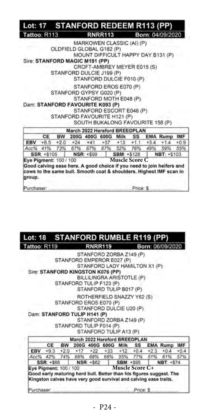| Tattoo: R113           |  |                                | <b>RNRR113</b>                          |                       |     | Born: 04/09/2020                                                      |        |
|------------------------|--|--------------------------------|-----------------------------------------|-----------------------|-----|-----------------------------------------------------------------------|--------|
|                        |  |                                | MARKOWEN CLASSIC (AI) (P)               |                       |     |                                                                       |        |
|                        |  |                                | OLDFIELD GLOBAL G182 (P)                |                       |     |                                                                       |        |
|                        |  |                                |                                         |                       |     | MOUNT DIFFICULT HAPPY DAY B131 (P)                                    |        |
|                        |  | Sire: STANFORD MAGIC M191 (PP) |                                         |                       |     |                                                                       |        |
|                        |  |                                | CROFT-AMBREY MEYER E015 (S)             |                       |     |                                                                       |        |
|                        |  |                                | STANFORD DULCIE J199 (P)                |                       |     |                                                                       |        |
|                        |  |                                | STANFORD DULCIE F010 (P)                |                       |     |                                                                       |        |
|                        |  |                                | STANFORD EROS E070 (P)                  |                       |     |                                                                       |        |
|                        |  |                                | STANFORD GYPSY G020 (P)                 |                       |     |                                                                       |        |
|                        |  |                                | STANFORD MOTH E048 (P)                  |                       |     |                                                                       |        |
|                        |  |                                | Dam: STANFORD FAVOURITE K093 (P)        |                       |     |                                                                       |        |
|                        |  |                                | STANFORD ESCORT E046 (P)                |                       |     |                                                                       |        |
|                        |  |                                | STANFORD FAVOURITE H121 (P)             |                       |     |                                                                       |        |
|                        |  |                                | SOUTH BUKALONG FAVOURITE 158 (P)        |                       |     |                                                                       |        |
|                        |  |                                | March 2022 Hereford BREEDPLAN           |                       |     |                                                                       |        |
| <b>CE</b>              |  |                                | BW 200G 400G 600G Milk                  |                       |     | SS EMA Rump IMF                                                       |        |
|                        |  |                                | EBV +8.5 +2.0 +24 +41 +57 +13 +1.1 +3.4 |                       |     | $+1.4$                                                                | $+0.9$ |
|                        |  |                                | Acc% 41% 73% 67% 67% 67% 52% 76%        |                       | 49% | 59%                                                                   | 55%    |
| SSR: +\$105            |  | NSR: +\$99                     |                                         | <b>SBM: +\$128</b>    | 1.  | NBT: +S103                                                            |        |
| Eye Pigment: 100 / 100 |  |                                |                                         | <b>Muscle Score C</b> |     |                                                                       |        |
|                        |  |                                |                                         |                       |     | Good calving ease here. A good choice if you need to join heifers and |        |

Purchaser: .................Price: \$.........

#### **STANFORD RUMBLE R119 (PP)** Lot: 18 Tattoo: R119 **RNRR119** Born: 06/09/2020

STANFORD ZORBA Z149 (P) STANFORD EMPEROR E027 (P) STANFORD LADY HAMILTON X1 (P) Sire: STANFORD KINGSTON K076 (PP) BILLILINGRA ARISTOTLE (P)

STANFORD TULIP F123 (P) STANFORD TULIP B017 (P)

ROTHERFIELD SNAZZY Y62 (S)

STANFORD EROS E070 (P) STANFORD DULCIE U20 (P)

Dam: STANFORD TULIP H141 (P)

E

A

Ey

STANFORD ZORBA Z149 (P) STANFORD TULIP F014 (P)

STANFORD THEIR A13 (P)

|                      | March 2022 Hereford BREEDPLAN                                                                                   |  |                        |  |                                                   |  |
|----------------------|-----------------------------------------------------------------------------------------------------------------|--|------------------------|--|---------------------------------------------------|--|
| CE                   |                                                                                                                 |  |                        |  | BW 200G 400G 600G Milk SS EMA Rump IMF            |  |
|                      |                                                                                                                 |  |                        |  | BV +9.3 +2.0 +17 +22 +33 +12 +0.4 +2.3 +0.4 +0.4  |  |
|                      |                                                                                                                 |  |                        |  | 06% 42% 74% 68% 68% 68% 55% 77% 51% 61% 57%       |  |
|                      |                                                                                                                 |  |                        |  | SSR: +\$68   NSR: +\$62   SBM: +\$95   NBT: +\$74 |  |
| e Pigment: 100 / 100 | the contract of the contract of the contract of the contract of the contract of the contract of the contract of |  | <b>Muscle Score C+</b> |  |                                                   |  |

Good early maturing herd bull. Better than his figures suggest. The Kingston calves have very good survival and calving ease traits.

Purchaser. Price: \$.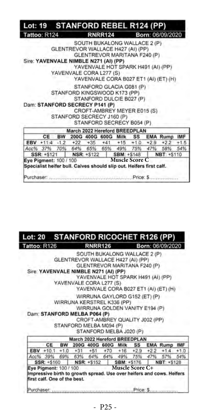| Lot: 19 STANFORD REBEL R124 (PP)                                                              |    |  |                                                                                                                                                                               |  |                                                       |        |
|-----------------------------------------------------------------------------------------------|----|--|-------------------------------------------------------------------------------------------------------------------------------------------------------------------------------|--|-------------------------------------------------------|--------|
| Tattoo: R124                                                                                  |    |  | <b>RNRR124</b>                                                                                                                                                                |  | Born: 06/09/2020                                      |        |
| Sire: YAVENVALE NIMBLE N271 (AI) (PP)                                                         |    |  | SOUTH BUKALONG WALLACE 2 (P)<br>GLENTREVOR WALLACE H427 (AI) (PP)<br>GLENTREVOR MARITANA F240 (P)<br>YAVENVALE HOT SPARK H491 (AI) (PP)<br>YAVENVALE CORA L277 (S)            |  | YAVENVALE CORA B027 ET1 (AI) (ET) (H)                 |        |
| Dam: STANFORD SECRECY P141 (P)                                                                |    |  | STANFORD GLACIA G081 (P)<br>STANFORD KINGSWOOD K173 (PP)<br>STANFORD DULCIE B027 (P)<br>CROFT-AMBREY MEYER E015 (S)<br>STANFORD SECRECY J160 (P)<br>STANFORD SECRECY B054 (P) |  |                                                       |        |
|                                                                                               |    |  | March 2022 Hereford BREEDPLAN                                                                                                                                                 |  |                                                       |        |
|                                                                                               | CE |  |                                                                                                                                                                               |  | BW 200G 400G 600G Milk SS EMA Rump IMF                |        |
|                                                                                               |    |  |                                                                                                                                                                               |  | EBV +11:4 -1.2 +22 +35 +41 +15 +1.0 +2.9 +2.2         | $+1.5$ |
| Acc% 37% 70% 64% 65% 65% 49% 75% 47%                                                          |    |  |                                                                                                                                                                               |  | 58%                                                   | 54%    |
|                                                                                               |    |  |                                                                                                                                                                               |  | SSR: +\$121   NSR: +\$122   SBM: +\$148   NBT: +\$110 |        |
| Eye Pigment: 100 / 100<br>Specialist heifer bull. Calves should slip out. Heifers first calf. |    |  | <b>Example 3 Muscle Score C</b>                                                                                                                                               |  | $Price:$ S                                            |        |

#### **STANFORD RICOCHET R126**  $Lot: 20$ Tattoo: R126 **RNRR126** Born: 06/09/2020

SOUTH BUKALONG WALLACE 2 (P) GLENTREVOR WALLACE H427 (AI) (PP) GLENTREVOR MARITANA F240 (P) Sire: YAVENVALE NIMBLE N271 (AI) (PP) YAVENVALE HOT SPARK H491 (AI) (PP) YAVENVALE CORA L277 (S) YAVENVALE CORA B027 ET1 (AI) (ET) (H) WIRRUNA GAYLORD G152 (ET) (P) WIRRUNA KERSTREL K336 (PP) WIRRUNA GOLDEN VANITY E194 (P) Dam: STANFORD MELBA P064 (P) CROFT-AMBREY QUALITY J002 (PP) STANFORD MELBA M094 (P) STANFORD MELBA J020 (P) March 2022 Hereford BREEDPLAN CE BW 200G 400G 600G Milk SS **EMA Rump IMF**  $EBV + 10.1 + 1.0$  $+70$  $+2.2$  $+31$  $+51$  $+16$  $+2.9$  $+1.4$  $+1.0$ 57% Acc% 39% 69% 63% 64% 64% 49% 75% 47% 54% SSR: +\$160 NSR: +\$152 SBM: +\$176. NBT: +\$128 Eye Pigment: 100 / 100

**Eye Pigment: 100 / 100 Muscle Score C+**<br>Impressive birth to growth spread. Use over helfers and cows. Helfers first calf. One of the best.

Purchaser: Price: \$.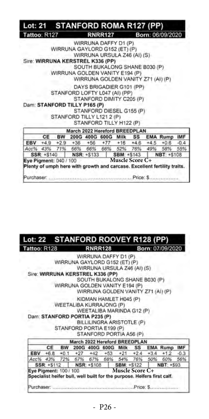|                                      |  | Lot: 21 STANFORD ROMA R127 (PP)                                                                     |                         |                |                                                                                                    |                                                                          |        |
|--------------------------------------|--|-----------------------------------------------------------------------------------------------------|-------------------------|----------------|----------------------------------------------------------------------------------------------------|--------------------------------------------------------------------------|--------|
| Tattoo: R127                         |  |                                                                                                     |                         | <b>RNRR127</b> |                                                                                                    | Born: 06/09/2020                                                         |        |
|                                      |  | WIRRUNA GAYLORD G152 (ET) (P)<br>Sire: WIRRUNA KERSTREL K336 (PP)<br>WIRRUNA GOLDEN VANITY E194 (P) | WIRRUNA DAFFY D1 (P)    |                | WIRRUNA URSULA Z46 (AI) (S)<br>SOUTH BUKALONG SHANE B030 (P)<br>WIRRUNA GOLDEN VANITY Z71 (AI) (P) |                                                                          |        |
|                                      |  | STANFORD LOFTY L047 (AI) (PP)<br>Dam: STANFORD TILLY P165 (P)<br>STANFORD TILLY L121 2 (P)          | STANFORD TILLY H122 (P) |                | DAYS BRIGADIER G101 (PP)<br>STANFORD DIMITY C205 (P)<br>STANFORD DIESEL G155 (P)                   |                                                                          |        |
|                                      |  | March 2022 Hereford BREEDPLAN                                                                       |                         |                |                                                                                                    |                                                                          |        |
|                                      |  |                                                                                                     |                         |                |                                                                                                    | CE BW 200G 400G 600G Milk SS EMA Rump IMF                                |        |
|                                      |  |                                                                                                     |                         |                |                                                                                                    | EBV +4.9 +2.9 +36 +56 +77 +16 +4.6 +4.5 +0.6                             | $-0.4$ |
|                                      |  | SSR: +S140 NSR: +S133                                                                               |                         |                | <b>SBM: +S143</b>                                                                                  | Acc% 43% 71% 66% 66% 66% 52% 76% 49% 58% 55%<br>NBT: +S108               |        |
| Eye Pigment: 040 / 100<br>Purchaser: |  |                                                                                                     |                         |                | <b>Muscle Score C+</b>                                                                             | Plenty of umph here with growth and carcase. Excellent fertility traits. |        |

| Lot: 22 STANFORD ROOVEY R128 (PP)                                       |           |                                         |                         |  |                                    |                                              |        |
|-------------------------------------------------------------------------|-----------|-----------------------------------------|-------------------------|--|------------------------------------|----------------------------------------------|--------|
| Tattoo: R128                                                            |           |                                         | <b>RNRR128</b>          |  |                                    | Born: 07/09/2020                             |        |
|                                                                         |           |                                         | WIRRUNA DAFFY D1 (P)    |  |                                    |                                              |        |
|                                                                         |           | WIRRUNA GAYLORD G152 (ET) (P)           |                         |  |                                    |                                              |        |
|                                                                         |           |                                         |                         |  | WIRRUNA URSULA Z46 (AI) (S)        |                                              |        |
| Sire: WIRRUNA KERSTREL K336 (PP)                                        |           |                                         |                         |  |                                    |                                              |        |
|                                                                         |           |                                         |                         |  | SOUTH BUKALONG SHANE B030 (P)      |                                              |        |
|                                                                         |           | WIRRUNA GOLDEN VANITY E194 (P)          |                         |  |                                    |                                              |        |
|                                                                         |           |                                         |                         |  | WIRRUNA GOLDEN VANITY Z71 (AI) (P) |                                              |        |
|                                                                         |           |                                         | KIDMAN HAMLET H045 (P)  |  |                                    |                                              |        |
|                                                                         |           | WEETALIBA KURRAJONG (P)                 |                         |  |                                    |                                              |        |
|                                                                         |           |                                         |                         |  | WEETALIBA MARINDA G12 (P)          |                                              |        |
| Dam: STANFORD PORTIA P235 (P)                                           |           |                                         |                         |  |                                    |                                              |        |
|                                                                         |           |                                         |                         |  | BILLILINGRA ARISTOTLE (P)          |                                              |        |
|                                                                         |           | STANFORD PORTIA E199 (P)                |                         |  |                                    |                                              |        |
|                                                                         |           |                                         | STANFORD PORTIA A56 (P) |  |                                    |                                              |        |
|                                                                         |           | March 2022 Hereford BREEDPLAN           |                         |  |                                    |                                              |        |
|                                                                         | <b>CE</b> |                                         |                         |  |                                    | BW 200G 400G 600G Milk SS EMA Rump IMF       |        |
|                                                                         |           |                                         |                         |  |                                    | EBV +6.8 +0.1 +27 +42 +53 +21 +2.4 +3.4 +1.2 | $-0.3$ |
|                                                                         |           |                                         |                         |  |                                    | Acc% 43% 72% 67% 67% 68% 54% 76% 50% 60% 56% |        |
|                                                                         |           | SSR: +\$112   NSR: +\$108   SBM: +\$122 |                         |  |                                    | <b>NBT: +\$93</b>                            |        |
| Eye Pigment: 100 / 100                                                  |           |                                         |                         |  | Muscle Score C+                    |                                              |        |
| Specialist heifer bull, well built for the purpose. Heifers first calf. |           |                                         |                         |  |                                    |                                              |        |
|                                                                         |           |                                         |                         |  |                                    |                                              |        |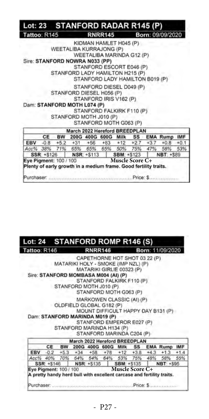| Tattoo: R145                                        |       |                                                                                                | <b>RNRR145</b> |                        |  | Born: 09/09/2020    |        |
|-----------------------------------------------------|-------|------------------------------------------------------------------------------------------------|----------------|------------------------|--|---------------------|--------|
| Sire: STANFORD NOWRA N033 (PP)                      |       | KIDMAN HAMLET H045 (P)<br>WEETALIBA KURRAJONG (P)<br>WEETALIBA MARINDA G12 (P)                 |                |                        |  |                     |        |
|                                                     |       | STANFORD ESCORT E046 (P)<br>STANFORD LADY HAMILTON H215 (P)<br>STANFORD LADY HAMILTON B019 (P) |                |                        |  |                     |        |
|                                                     |       | STANFORD DIESEL D049 (P)<br>STANFORD DIESEL H056 (P)<br>STANFORD IRIS V162 (P)                 |                |                        |  |                     |        |
| Dam: STANFORD MOTH L074 (P)                         |       | STANFORD FALKIRK F110 (P)<br>STANFORD MOTH J010 (P)<br>STANFORD MOTH G063 (P)                  |                |                        |  |                     |        |
|                                                     |       | March 2022 Hereford BREEDPLAN                                                                  |                |                        |  |                     |        |
|                                                     | CE BW | 200G 400G 600G Milk SS                                                                         |                |                        |  | <b>EMA Rump IMF</b> |        |
| <b>EBV</b>                                          |       | $-0.8$ +5.2 +31 +56 +83 +12 +2.7 +3.7                                                          |                |                        |  | $+0.8$              | $+0.1$ |
| Acc% 38% 71% 65% 65% 65% 50% 75% 47%<br>SSR: +\$126 |       | NSR: +\$113                                                                                    |                | <b>SBM: +\$123</b>     |  | 58%<br>NBT: +\$89   | 53%    |
| Eye Pigment: 100 / 100                              |       | Plenty of early growth in a medium frame. Good fertility traits.                               |                | <b>Muscle Score C+</b> |  |                     |        |

I

l

| Lot: 24 STANFORD ROMP R146 (S)       |    |                                                               |                                                                                                                   |                 |  |                                                                       |  |
|--------------------------------------|----|---------------------------------------------------------------|-------------------------------------------------------------------------------------------------------------------|-----------------|--|-----------------------------------------------------------------------|--|
| Tattoo: R146                         |    |                                                               | <b>RNRR146</b>                                                                                                    |                 |  | Born: 11/09/2020                                                      |  |
| Sire: STANFORD MOMBASA M004 (AI) (P) |    | MATARIKI HOLY - SMOKE (IMP NZL) (P)<br>STANFORD MOTH J010 (P) | CAPETHORNE HOT SHOT 03 22 (P)<br>MATARIKI GIRLIE 00323 (P)<br>STANFORD FALKIRK F110 (P)<br>STANFORD MOTH G063 (P) |                 |  |                                                                       |  |
| Dam: STANFORD MARINDA M019 (P)       |    | OLDFIELD GLOBAL G182 (P)<br>STANFORD MARINDA H134 (P)         | MARKOWEN CLASSIC (AI) (P)<br>STANFORD EMPEROR E027 (P)<br>STANFORD MARINDA C204 (P)                               |                 |  | MOUNT DIFFICULT HAPPY DAY B131 (P)                                    |  |
|                                      |    | March 2022 Hereford BREEDPLAN                                 |                                                                                                                   |                 |  |                                                                       |  |
|                                      | CE | BW 200G 400G 600G Milk SS                                     |                                                                                                                   |                 |  | <b>EMA Rump IMF</b>                                                   |  |
|                                      |    |                                                               |                                                                                                                   |                 |  | EBV -0.2 +5.3 +34 +58 +78 +12 +3.8 +4.3 +1.3 +1.4                     |  |
|                                      |    | Acc% 40% 70% 64% 64% 64% 53% 75%                              |                                                                                                                   |                 |  | 48% 58% 55%                                                           |  |
|                                      |    | SSR: +\$146   NSR: +\$135   SBM: +\$135                       |                                                                                                                   |                 |  | NBT: +\$95                                                            |  |
| Eye Pigment: 100 / 100               |    |                                                               |                                                                                                                   | Muscle Score C+ |  | A pretty handy herd bull with excellent carcase and fertility traits. |  |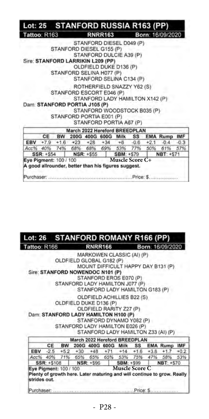| Lot: 25 STANFORD RUSSIA R163 (PP)                   |            |                               |                                 |                   |           |     |                  |        |
|-----------------------------------------------------|------------|-------------------------------|---------------------------------|-------------------|-----------|-----|------------------|--------|
| Tattoo: R163                                        |            |                               | <b>RNRR163</b>                  |                   |           |     | Born: 16/09/2020 |        |
|                                                     |            |                               | STANFORD DIESEL D049 (P)        |                   |           |     |                  |        |
|                                                     |            | STANFORD DIESEL G155 (P)      |                                 |                   |           |     |                  |        |
|                                                     |            |                               | STANFORD DULCIE A39 (P)         |                   |           |     |                  |        |
| Sire: STANFORD LARRIKIN L209 (PP)                   |            |                               |                                 |                   |           |     |                  |        |
|                                                     |            |                               | OLDFIELD DUKE D136 (P)          |                   |           |     |                  |        |
|                                                     |            | STANFORD SELINA H077 (P)      |                                 |                   |           |     |                  |        |
|                                                     |            |                               | STANFORD SELINA C134 (P)        |                   |           |     |                  |        |
|                                                     |            |                               | ROTHERFIELD SNAZZY Y62 (S)      |                   |           |     |                  |        |
|                                                     |            | STANFORD ESCORT E046 (P)      |                                 |                   |           |     |                  |        |
|                                                     |            |                               | STANFORD LADY HAMILTON X142 (P) |                   |           |     |                  |        |
| Dam: STANFORD PORTIA J105 (P)                       |            |                               |                                 |                   |           |     |                  |        |
|                                                     |            |                               | STANFORD WOODSTOCK B035 (P)     |                   |           |     |                  |        |
|                                                     |            | STANFORD PORTIA E001 (P)      |                                 |                   |           |     |                  |        |
|                                                     |            |                               | STANFORD PORTIA A67 (P)         |                   |           |     |                  |        |
|                                                     |            | March 2022 Hereford BREEDPLAN |                                 |                   |           |     |                  |        |
|                                                     | CE         | BW 200G 400G 600G Milk        |                                 |                   | <b>SS</b> |     | <b>EMA Rump</b>  | IMF    |
| EBV +7.9 +1.6 +23 +28 +34 +6 -0.6 +2.1              |            |                               |                                 |                   |           |     | $-0.4$           | $-0.3$ |
| Acc% 40% 74% 68% 68% 69% 53% 77%                    |            |                               |                                 |                   |           | 50% | 61% 57%          |        |
|                                                     | SSR: +\$54 | $NSR: +S55$                   |                                 | <b>SBM: +\$79</b> |           |     | NBT: +S71        |        |
| Eye Pigment: 100 / 100                              |            |                               | Muscle Score C+                 |                   |           |     |                  |        |
| A good allrounder, better than his figures suggest. |            |                               |                                 |                   |           |     |                  |        |
|                                                     |            |                               |                                 |                   |           |     |                  |        |

#### **STANFORD ROMANY R166 (PP)** Lot: 26 Tattoo: R166 **RNRR166** Born: 16/09/2020

MARKOWEN CLASSIC (AI) (P) OLDFIELD GLOBAL G182 (P) MOUNT DIFFICULT HAPPY DAY B131 (P) Sire: STANFORD NOWENDOC N101 (P) STANFORD EROS E070 (P) STANFORD LADY HAMILTON J077 (P)

STANFORD LADY HAMILTON G183 (P)

OLDFIELD ACHILLIES B22 (S)

OLDFIELD DUKE D136 (P) OLDFIELD RARITY Z27 (P)

Dam: STANFORD LADY HAMILTON H100 (P) STANFORD DYNAMO Y082 (P) STANFORD LADY HAMILTON E026 (P) STANFORD LADY HAMILTON Z33 (AI) (P)

|              |                        | March 2022 Hereford BREEDPLAN |                                       |                       |  |                                                                         |  |
|--------------|------------------------|-------------------------------|---------------------------------------|-----------------------|--|-------------------------------------------------------------------------|--|
|              | <b>CE</b>              |                               |                                       |                       |  | BW 200G 400G 600G Milk SS EMA Rump IMF                                  |  |
|              |                        |                               |                                       |                       |  | EBV -2.5 +5.2 +30 +48 +71 +14 +1.6 +3.8 +1.7 +0.2                       |  |
|              |                        |                               |                                       |                       |  | Acc% 40% 71% 65% 65% 65% 53% 75% 47% 58% 53%                            |  |
|              |                        |                               |                                       |                       |  | SSR: +\$108 NSR: +\$96 SBM: +\$99 NBT: +\$70                            |  |
| strides out. | Eye Pigment: 100 / 100 |                               | and the control of the control of the | <b>Muscle Score C</b> |  | Plenty of growth here. Later maturing and will continue to grow. Really |  |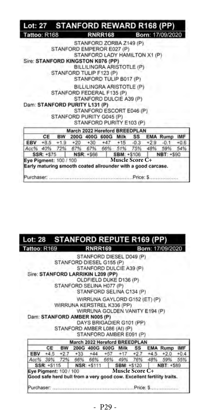|                                      |    |           |                                                                                           |                                                                                                                  |  | Lot: 27 STANFORD REWARD R168 (PP)                  |        |
|--------------------------------------|----|-----------|-------------------------------------------------------------------------------------------|------------------------------------------------------------------------------------------------------------------|--|----------------------------------------------------|--------|
| Tattoo: R168                         |    |           |                                                                                           | <b>RNRR168</b>                                                                                                   |  | Born: 17/09/2020                                   |        |
|                                      |    |           | STANFORD EMPEROR E027 (P)<br>Sire: STANFORD KINGSTON K076 (PP)<br>STANFORD TULIP F123 (P) | STANFORD ZORBA Z149 (P)<br>STANFORD LADY HAMILTON X1 (P)<br>BILLILINGRA ARISTOTLE (P)<br>STANFORD TULIP B017 (P) |  |                                                    |        |
|                                      |    |           | STANFORD FEDERAL F135 (P)<br>Dam: STANFORD PURITY L131 (P)<br>STANFORD PURITY G045 (P)    | BILLILINGRA ARISTOTLE (P)<br>STANFORD DULCIE A39 (P)<br>STANFORD ESCORT E046 (P)<br>STANFORD PURITY E103 (P)     |  |                                                    |        |
|                                      |    |           | March 2022 Hereford BREEDPLAN                                                             |                                                                                                                  |  |                                                    |        |
|                                      | CE | <b>BW</b> |                                                                                           | 200G 400G 600G Milk SS                                                                                           |  | <b>EMA Rump</b>                                    | IMF    |
|                                      |    |           |                                                                                           |                                                                                                                  |  | EBV +8.5 +1.9 +20 +30 +47 +15 -0.3 +2.9 -0.1       | $+0.6$ |
|                                      |    |           | Acc% 40% 72% 67% 67% 66% 51% 75% 48%                                                      |                                                                                                                  |  | 59%                                                | 54%    |
|                                      |    |           |                                                                                           |                                                                                                                  |  | SSR: +\$75   NSR: +\$66   SBM: +\$106   NBT: +\$90 |        |
| Eye Pigment: 100 / 100<br>Purchaser, |    |           | Early maturing smooth coated allrounder with a good carcase.                              | Muscle Score C+                                                                                                  |  |                                                    |        |

| Lot: 28 STANFORD REPUTE R169 (PP)                                     |    |                               |                                |                        |  |                                     |        |
|-----------------------------------------------------------------------|----|-------------------------------|--------------------------------|------------------------|--|-------------------------------------|--------|
| Tattoo: R169                                                          |    |                               | <b>RNRR169</b>                 |                        |  | Born: 17/09/2020                    |        |
|                                                                       |    |                               | STANFORD DIESEL D049 (P)       |                        |  |                                     |        |
|                                                                       |    | STANFORD DIESEL G155 (P)      |                                |                        |  |                                     |        |
|                                                                       |    |                               | STANFORD DULCIE A39 (P)        |                        |  |                                     |        |
| Sire: STANFORD LARRIKIN L209 (PP)                                     |    |                               |                                |                        |  |                                     |        |
|                                                                       |    |                               | OLDFIELD DUKE D136 (P)         |                        |  |                                     |        |
|                                                                       |    | STANFORD SELINA H077 (P)      |                                |                        |  |                                     |        |
|                                                                       |    |                               | STANFORD SELINA C134 (P)       |                        |  |                                     |        |
|                                                                       |    |                               | WIRRUNA GAYLORD G152 (ET) (P)  |                        |  |                                     |        |
|                                                                       |    | WIRRUNA KERSTREL K336 (PP)    |                                |                        |  |                                     |        |
|                                                                       |    |                               | WIRRUNA GOLDEN VANITY E194 (P) |                        |  |                                     |        |
| Dam: STANFORD AMBER N005 (P)                                          |    |                               |                                |                        |  |                                     |        |
|                                                                       |    |                               | DAYS BRIGADIER G101 (PP)       |                        |  |                                     |        |
|                                                                       |    | STANFORD AMBER L086 (AI) (P)  |                                |                        |  |                                     |        |
|                                                                       |    |                               | STANFORD AMBER E091 (P)        |                        |  |                                     |        |
|                                                                       |    | March 2022 Hereford BREEDPLAN |                                |                        |  |                                     |        |
| CE                                                                    | BW |                               |                                |                        |  | 200G 400G 600G Milk SS EMA Rump IMF |        |
| EBV +4.5 +2.7 +33 +44 +57 +17 +2.7 +4.5 +2.0                          |    |                               |                                |                        |  |                                     | $+0.4$ |
| Acc% 39% 72% 66% 66% 66% 49% 76% 48% 59% 55%                          |    |                               |                                |                        |  |                                     |        |
| SSR: +\$115   NSR: +\$111   SBM: +\$120                               |    |                               |                                |                        |  | NBT: +589                           |        |
| Eye Pigment: 100 / 100                                                |    |                               |                                | <b>Muscle Score C+</b> |  |                                     |        |
| Good safe herd bull from a very good cow. Excellent fertility traits. |    |                               |                                |                        |  |                                     |        |
|                                                                       |    |                               |                                |                        |  |                                     |        |
| Purchaser:                                                            |    |                               |                                |                        |  |                                     |        |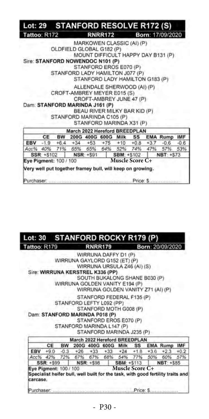| Lot: 29 STANFORD RESOLVE R172 (S)                            |    |           |                                                   |  |                                       |  |  |  |                                          |        |
|--------------------------------------------------------------|----|-----------|---------------------------------------------------|--|---------------------------------------|--|--|--|------------------------------------------|--------|
| Tattoo: R172                                                 |    |           |                                                   |  | <b>RNRR172</b>                        |  |  |  | Born: 17/09/2020                         |        |
|                                                              |    |           |                                                   |  | MARKOWEN CLASSIC (AI) (P)             |  |  |  |                                          |        |
|                                                              |    |           |                                                   |  | OLDFIELD GLOBAL G182 (P)              |  |  |  |                                          |        |
|                                                              |    |           |                                                   |  |                                       |  |  |  | MOUNT DIFFICULT HAPPY DAY B131 (P)       |        |
| Sire: STANFORD NOWENDOC N101 (P)                             |    |           |                                                   |  |                                       |  |  |  |                                          |        |
|                                                              |    |           |                                                   |  | STANFORD EROS E070 (P)                |  |  |  |                                          |        |
|                                                              |    |           |                                                   |  | STANFORD LADY HAMILTON J077 (P)       |  |  |  |                                          |        |
|                                                              |    |           |                                                   |  | STANFORD LADY HAMILTON G183 (P)       |  |  |  |                                          |        |
|                                                              |    |           |                                                   |  | ALLENDALE SHERWOOD (AI) (P)           |  |  |  |                                          |        |
|                                                              |    |           |                                                   |  | CROFT-AMBREY MEYER E015 (S)           |  |  |  |                                          |        |
|                                                              |    |           |                                                   |  | CROFT-AMBREY JUNE 47 (P)              |  |  |  |                                          |        |
| Dam: STANFORD MARINDA J161 (P)                               |    |           |                                                   |  |                                       |  |  |  |                                          |        |
|                                                              |    |           |                                                   |  | BEAU RIVER MILKY BAR KID (P)          |  |  |  |                                          |        |
|                                                              |    |           |                                                   |  | STANFORD MARINDA C105 (P)             |  |  |  |                                          |        |
|                                                              |    |           |                                                   |  | STANFORD MARINDA X31 (P)              |  |  |  |                                          |        |
|                                                              |    |           |                                                   |  | March 2022 Hereford BREEDPLAN         |  |  |  |                                          |        |
|                                                              | CF | <b>BW</b> |                                                   |  |                                       |  |  |  | 200G 400G 600G Milk SS EMA Rump IMF      |        |
| EBV                                                          |    |           |                                                   |  | $-1.9$ +6.4 +34 +53 +75 +10 +0.8 +3.7 |  |  |  | $-0.6$                                   | $-0.6$ |
|                                                              |    |           |                                                   |  |                                       |  |  |  | Acc% 40% 71% 65% 65% 64% 52% 74% 47% 57% | 53%    |
| SSR: +\$102<br>NSR: +591                                     |    |           | NBT: +S73<br><b>SBM: +S102</b><br>Muscle Score C+ |  |                                       |  |  |  |                                          |        |
| Eye Pigment: 100 / 100                                       |    |           |                                                   |  |                                       |  |  |  |                                          |        |
| Very well put together framey bull, will keep on growing.    |    |           |                                                   |  |                                       |  |  |  |                                          |        |
| Purchaser: www.maramaramaramaramaramara.Price: \$.ammaramara |    |           |                                                   |  |                                       |  |  |  |                                          |        |

#### **STANFORD ROCKY R179 (P)** Lot: 30 Tattoo: R179 Born: 20/09/2020 **RNRR179**

WIRRUNA DAFFY D1 (P) WIRRUNA GAYLORD G152 (ET) (P) WIRRUNA URSULA Z46 (AI) (S) Sire: WIRRUNA KERSTREL K336 (PP) SOUTH BUKALONG SHANE B030 (P) WIRRUNA GOLDEN VANITY E194 (P) WIRRUNA GOLDEN VANITY Z71 (AI) (P) STANFORD FEDERAL F135 (P) STANFORD LEFTY L092 (PP) STANFORD MOTH G008 (P) Dam: STANFORD MARINDA P018 (P) STANFORD EROS E070 (P) STANFORD MARINDA L147 (P) STANFORD MARINDA J235 (P) March 2022 Hereford BREEDPLAN CE BW 200G 400G 600G Milk SS **EMA Rump IMF EBV**  $+9.0$  $-0.3$  $+26$  $+33$  $+33$  $+24$  $+1.8$  $+3.6$  $+2.3$  $+0.2$ 42% 72% 67% 67% 68% 54% 77% 50% 60% 57% Acc% SSR: +\$99 NSR: +\$98 SBM: +\$113 NBT: +\$85

Eye Pigment: 100 / 100 **Muscle Score C+**<br>Specialist helfer bull, well built for the task, with good fertility traits and Eye Pigment: 100 / 100 carcase.

...........Price: \$.

- P30 -

Purchaser: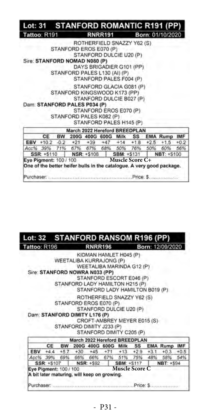| <b>RNRR191</b><br>Tattoo: R191<br>ROTHERFIELD SNAZZY Y62 (S)<br>STANFORD EROS E070 (P)<br>STANFORD DULCIE U20 (P)<br>Sire: STANFORD NOMAD N080 (P) | Born: 01/10/2020 |
|----------------------------------------------------------------------------------------------------------------------------------------------------|------------------|
|                                                                                                                                                    |                  |
|                                                                                                                                                    |                  |
|                                                                                                                                                    |                  |
|                                                                                                                                                    |                  |
|                                                                                                                                                    |                  |
| DAYS BRIGADIER G101 (PP)                                                                                                                           |                  |
| STANFORD PALES L130 (AI) (P)<br>STANFORD PALES F004 (P)                                                                                            |                  |
|                                                                                                                                                    |                  |
| STANFORD GLACIA G081 (P)                                                                                                                           |                  |
| STANFORD KINGSWOOD K173 (PP)                                                                                                                       |                  |
| STANFORD DULCIE B027 (P)                                                                                                                           |                  |
| Dam: STANFORD PALES P034 (P)                                                                                                                       |                  |
| STANFORD EROS E070 (P)                                                                                                                             |                  |
| STANFORD PALES K082 (P)                                                                                                                            |                  |
| STANFORD PALES H145 (P)                                                                                                                            |                  |
| March 2022 Hereford BREEDPLAN                                                                                                                      |                  |
| BW 200G 400G 600G Milk SS EMA Rump IMF<br>CE                                                                                                       |                  |
| EBV +10.2 -0.2 +21 +39 +47 +14 +1.8 +2.5 +1.5                                                                                                      | $+0.2$           |
| Acc% 39% 71% 67% 67% 68% 50% 76% 50%                                                                                                               | 60%<br>56%       |
| SSR: +\$110   NSR: +\$108   SBM: +\$131                                                                                                            | NBT: +S100       |
| Muscle Score C+<br>Eye Pigment: 100 / 100                                                                                                          |                  |

#### STANFORD RANSOM R196 (PP) Lot: 32 Tattoo: R196 **RNRR196** Born: 12/09/2020

KIDMAN HAMLET H045 (P) WEETALIBA KURRAJONG (P) WEETALIBA MARINDA G12 (P) Sire: STANFORD NOWRA N033 (PP) STANFORD ESCORT E046 (P) STANFORD LADY HAMILTON H215 (P) STANFORD LADY HAMILTON B019 (P) ROTHERFIELD SNAZZY Y62 (S) STANFORD EROS E070 (P) STANFORD DULCIE U20 (P) Dam: STANFORD DIMITY L176 (P) CROFT-AMBREY MEYER E015 (S) STANFORD DIMITY J233 (P) STANFORD DIMITY C205 (P) March 2022 Hereford BREEDPLAN CE BW 200G 400G 600G Milk SS **EMA Rump IMF** EBV  $+4.4$  $+5.7$  $+30$  $+45$  $+71$  $+13$  $+2.9$  $+3.1$  $+0.3$  $+0.5$ 66% 67% 51% 48% Acc% 39% 69% 66% 75% 58% 54% SSR: +\$107 **NSR: +\$92** SBM: +S117 NBT: +\$94 **Muscle Score C**Eye Pigment: 100 / 100

Purchaser: Allen and the component component of Summands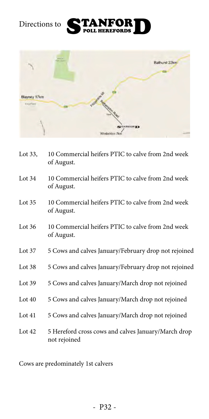



| Lot 33,  | 10 Commercial heifers PTIC to calve from 2nd week<br>of August.     |
|----------|---------------------------------------------------------------------|
| Lot $34$ | 10 Commercial heifers PTIC to calve from 2nd week<br>of August.     |
| Lot $35$ | 10 Commercial heifers PTIC to calve from 2nd week<br>of August.     |
| Lot $36$ | 10 Commercial heifers PTIC to calve from 2nd week<br>of August.     |
| Lot $37$ | 5 Cows and calves January/February drop not rejoined                |
| Lot $38$ | 5 Cows and calves January/February drop not rejoined                |
| Lot $39$ | 5 Cows and calves January/March drop not rejoined                   |
| Lot $40$ | 5 Cows and calves January/March drop not rejoined                   |
| Lot $41$ | 5 Cows and calves January/March drop not rejoined                   |
| Lot $42$ | 5 Hereford cross cows and calves January/March drop<br>not rejoined |

Cows are predominately 1st calvers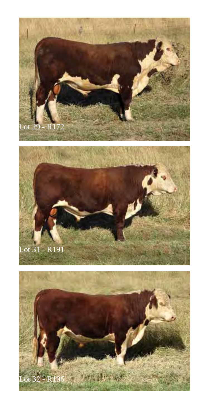